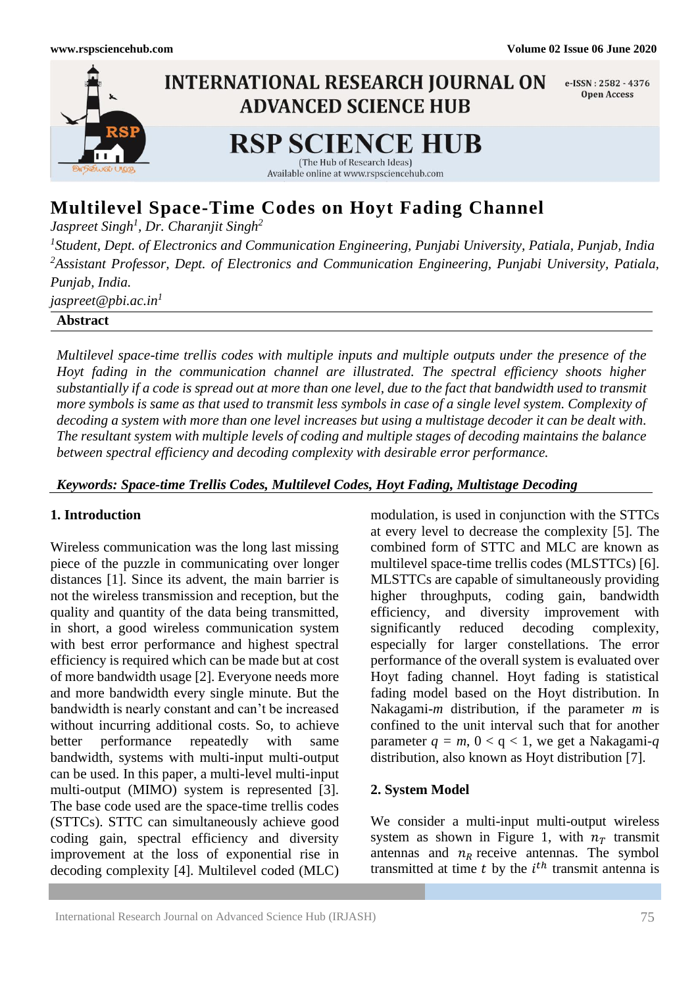

# **Multilevel Space-Time Codes on Hoyt Fading Channel**

*Jaspreet Singh<sup>1</sup> , Dr. Charanjit Singh<sup>2</sup>*

*1 Student, Dept. of Electronics and Communication Engineering, Punjabi University, Patiala, Punjab, India <sup>2</sup>Assistant Professor, Dept. of Electronics and Communication Engineering, Punjabi University, Patiala, Punjab, India.*

*jaspreet@pbi.ac.in 1*

**Abstract**

*Multilevel space-time trellis codes with multiple inputs and multiple outputs under the presence of the Hoyt fading in the communication channel are illustrated. The spectral efficiency shoots higher substantially if a code is spread out at more than one level, due to the fact that bandwidth used to transmit more symbols is same as that used to transmit less symbols in case of a single level system. Complexity of decoding a system with more than one level increases but using a multistage decoder it can be dealt with. The resultant system with multiple levels of coding and multiple stages of decoding maintains the balance between spectral efficiency and decoding complexity with desirable error performance.*

# *Keywords: Space-time Trellis Codes, Multilevel Codes, Hoyt Fading, Multistage Decoding*

# **1. Introduction**

Wireless communication was the long last missing piece of the puzzle in communicating over longer distances [1]. Since its advent, the main barrier is not the wireless transmission and reception, but the quality and quantity of the data being transmitted, in short, a good wireless communication system with best error performance and highest spectral efficiency is required which can be made but at cost of more bandwidth usage [2]. Everyone needs more and more bandwidth every single minute. But the bandwidth is nearly constant and can't be increased without incurring additional costs. So, to achieve better performance repeatedly with same bandwidth, systems with multi-input multi-output can be used. In this paper, a multi-level multi-input multi-output (MIMO) system is represented [3]. The base code used are the space-time trellis codes (STTCs). STTC can simultaneously achieve good coding gain, spectral efficiency and diversity improvement at the loss of exponential rise in decoding complexity [4]. Multilevel coded (MLC)

modulation, is used in conjunction with the STTCs at every level to decrease the complexity [5]. The combined form of STTC and MLC are known as multilevel space-time trellis codes (MLSTTCs) [6]. MLSTTCs are capable of simultaneously providing higher throughputs, coding gain, bandwidth efficiency, and diversity improvement with significantly reduced decoding complexity, especially for larger constellations. The error performance of the overall system is evaluated over Hoyt fading channel. Hoyt fading is statistical fading model based on the Hoyt distribution. In Nakagami-*m* distribution, if the parameter *m* is confined to the unit interval such that for another parameter  $q = m$ ,  $0 < q < 1$ , we get a Nakagami-*q* distribution, also known as Hoyt distribution [7].

# **2. System Model**

We consider a multi-input multi-output wireless system as shown in Figure 1, with  $n<sub>T</sub>$  transmit antennas and  $n_R$  receive antennas. The symbol transmitted at time  $t$  by the  $i<sup>th</sup>$  transmit antenna is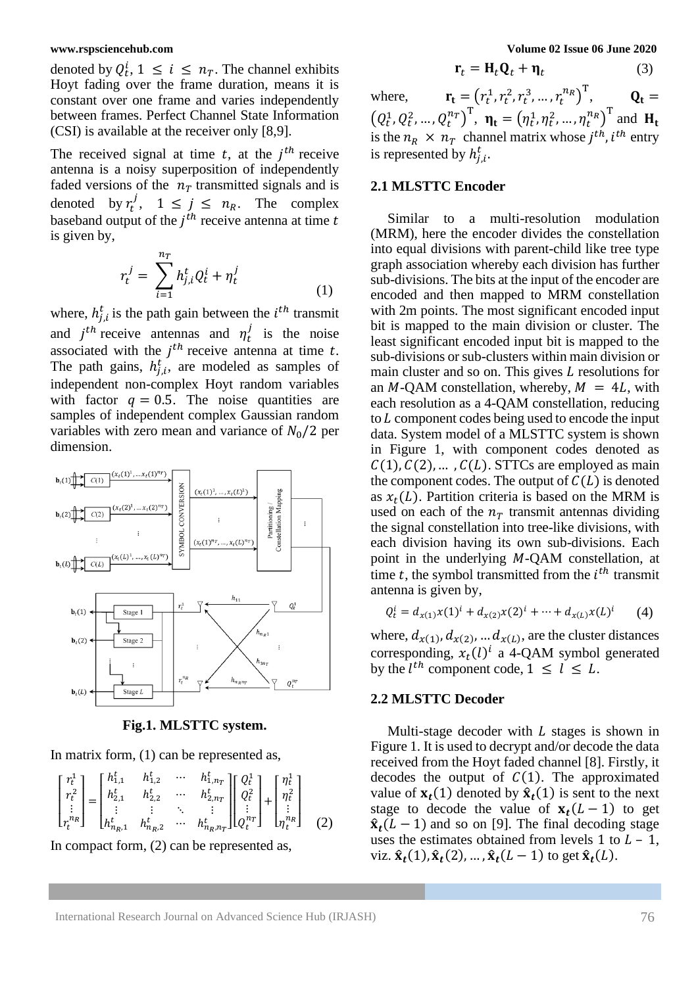denoted by  $Q_t^i$ ,  $1 \le i \le n_T$ . The channel exhibits Hoyt fading over the frame duration, means it is constant over one frame and varies independently between frames. Perfect Channel State Information (CSI) is available at the receiver only [8,9].

The received signal at time  $t$ , at the  $j<sup>th</sup>$  receive antenna is a noisy superposition of independently faded versions of the  $n<sub>T</sub>$  transmitted signals and is denoted by  $r_t^j$ ,  $1 \le j \le n_R$ . The complex baseband output of the  $j<sup>th</sup>$  receive antenna at time t is given by,

$$
r_t^j = \sum_{i=1}^{n_T} h_{j,i}^t Q_t^i + \eta_t^j
$$
 (1)

where,  $h_{j,i}^t$  is the path gain between the  $i^{th}$  transmit and  $j^{th}$  receive antennas and  $\eta_t^j$  is the noise associated with the  $j<sup>th</sup>$  receive antenna at time t. The path gains,  $h_{j,i}^t$ , are modeled as samples of independent non-complex Hoyt random variables with factor  $q = 0.5$ . The noise quantities are samples of independent complex Gaussian random variables with zero mean and variance of  $N_0/2$  per dimension.



**Fig.1. MLSTTC system.**

In matrix form, (1) can be represented as,

$$
\begin{bmatrix} r_t^1 \\ r_t^2 \\ \vdots \\ r_t^{n_R} \end{bmatrix} = \begin{bmatrix} h_{1,1}^t & h_{1,2}^t & \cdots & h_{1,n_T}^t \\ h_{2,1}^t & h_{2,2}^t & \cdots & h_{2,n_T}^t \\ \vdots & \vdots & \ddots & \vdots \\ h_{n_R,1}^t & h_{n_R,2}^t & \cdots & h_{n_R,n_T}^t \end{bmatrix} \begin{bmatrix} Q_t^1 \\ Q_t^2 \\ \vdots \\ Q_t^{n_T} \end{bmatrix} + \begin{bmatrix} \eta_t^1 \\ \eta_t^2 \\ \vdots \\ \eta_t^{n_R} \end{bmatrix}
$$
 (2)

In compact form, (2) can be represented as,

$$
\mathbf{r}_t = \mathbf{H}_t \mathbf{Q}_t + \mathbf{\eta}_t \tag{3}
$$

where,  $\mathbf{r_t} = (r_t^1, r_t^2, r_t^3, ..., r_t^{n_R})^T$ ,  $\mathbf{Q_t} =$  $(Q_t^1, Q_t^2, ..., Q_t^{n_T})^T$ ,  $\mathbf{\eta_t} = (\eta_t^1, \eta_t^2, ..., \eta_t^{n_R})^T$  and  $\mathbf{H_t}$ is the  $n_R \times n_T$  channel matrix whose  $j^{th}$ ,  $i^{th}$  entry is represented by  $h_{j,i}^t$ .

### **2.1 MLSTTC Encoder**

Similar to a multi-resolution modulation (MRM), here the encoder divides the constellation into equal divisions with parent-child like tree type graph association whereby each division has further sub-divisions. The bits at the input of the encoder are encoded and then mapped to MRM constellation with 2m points. The most significant encoded input bit is mapped to the main division or cluster. The least significant encoded input bit is mapped to the sub-divisions or sub-clusters within main division or main cluster and so on. This gives  $L$  resolutions for an  $M$ -QAM constellation, whereby,  $M = 4L$ , with each resolution as a 4-QAM constellation, reducing to  $L$  component codes being used to encode the input data. System model of a MLSTTC system is shown in Figure 1, with component codes denoted as  $C(1), C(2), \ldots, C(L)$ . STTCs are employed as main the component codes. The output of  $C(L)$  is denoted as  $x_t(L)$ . Partition criteria is based on the MRM is used on each of the  $n<sub>T</sub>$  transmit antennas dividing the signal constellation into tree-like divisions, with each division having its own sub-divisions. Each point in the underlying  $M$ -QAM constellation, at time  $t$ , the symbol transmitted from the  $i<sup>th</sup>$  transmit antenna is given by,

$$
Q_t^i = d_{x(1)}x(1)^i + d_{x(2)}x(2)^i + \dots + d_{x(L)}x(L)^i \qquad (4)
$$

where,  $d_{x(1)}$ ,  $d_{x(2)}$ , ...  $d_{x(L)}$ , are the cluster distances corresponding,  $x_t(l)^i$  a 4-QAM symbol generated by the  $l^{th}$  component code,  $1 \leq l \leq L$ .

# **2.2 MLSTTC Decoder**

Multi-stage decoder with  $L$  stages is shown in Figure 1. It is used to decrypt and/or decode the data received from the Hoyt faded channel [8]. Firstly, it decodes the output of  $C(1)$ . The approximated value of  $\mathbf{x}_t(1)$  denoted by  $\hat{\mathbf{x}}_t(1)$  is sent to the next stage to decode the value of  $x_t(L-1)$  to get  $\hat{\mathbf{x}}_t(L-1)$  and so on [9]. The final decoding stage uses the estimates obtained from levels  $1$  to  $L - 1$ , viz.  $\hat{\mathbf{x}}_t(1), \hat{\mathbf{x}}_t(2), \dots, \hat{\mathbf{x}}_t(L-1)$  to get  $\hat{\mathbf{x}}_t(L)$ .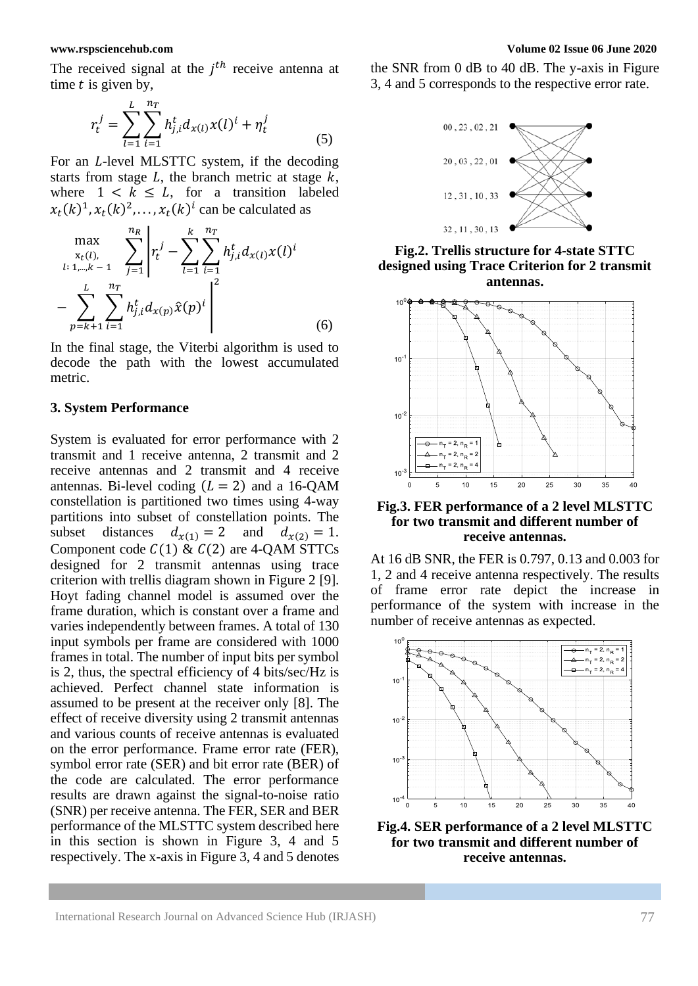The received signal at the  $j<sup>th</sup>$  receive antenna at time  $t$  is given by,

$$
r_t^j = \sum_{l=1}^L \sum_{i=1}^{n_T} h_{j,i}^t d_{x(l)} x(l)^i + \eta_t^j
$$
 (5)

For an *L*-level MLSTTC system, if the decoding starts from stage  $L$ , the branch metric at stage  $k$ , where  $1 \leq k \leq L$ , for a transition labeled  $x_t(k)^1, x_t(k)^2, \ldots, x_t(k)^i$  can be calculated as

$$
\max_{\substack{x_t(l), \\ i: 1, \dots, k-1 \\ p=k+1}} \sum_{j=1}^{n_R} \left| r_t^j - \sum_{l=1}^k \sum_{i=1}^{n_T} h_{j,i}^t d_{x(l)} x(l)^i \right|
$$
\n
$$
- \sum_{p=k+1}^L \sum_{i=1}^{n_T} h_{j,i}^t d_{x(p)} \hat{x}(p)^i \Bigg|^2 \tag{6}
$$

In the final stage, the Viterbi algorithm is used to decode the path with the lowest accumulated metric.

### **3. System Performance**

System is evaluated for error performance with 2 transmit and 1 receive antenna, 2 transmit and 2 receive antennas and 2 transmit and 4 receive antennas. Bi-level coding  $(L = 2)$  and a 16-OAM constellation is partitioned two times using 4-way partitions into subset of constellation points. The subset distances  $d_{x(1)} = 2$  and  $d_{x(2)} = 1$ . Component code  $C(1)$  &  $C(2)$  are 4-QAM STTCs designed for 2 transmit antennas using trace criterion with trellis diagram shown in Figure 2 [9]. Hoyt fading channel model is assumed over the frame duration, which is constant over a frame and varies independently between frames. A total of 130 input symbols per frame are considered with 1000 frames in total. The number of input bits per symbol is 2, thus, the spectral efficiency of 4 bits/sec/Hz is achieved. Perfect channel state information is assumed to be present at the receiver only [8]. The effect of receive diversity using 2 transmit antennas and various counts of receive antennas is evaluated on the error performance. Frame error rate (FER), symbol error rate (SER) and bit error rate (BER) of the code are calculated. The error performance results are drawn against the signal-to-noise ratio (SNR) per receive antenna. The FER, SER and BER performance of the MLSTTC system described here in this section is shown in Figure 3, 4 and 5 respectively. The x-axis in Figure 3, 4 and 5 denotes

the SNR from 0 dB to 40 dB. The y-axis in Figure 3, 4 and 5 corresponds to the respective error rate.



**Fig.2. Trellis structure for 4-state STTC designed using Trace Criterion for 2 transmit antennas.**



### **Fig.3. FER performance of a 2 level MLSTTC for two transmit and different number of receive antennas.**

At 16 dB SNR, the FER is 0.797, 0.13 and 0.003 for 1, 2 and 4 receive antenna respectively. The results of frame error rate depict the increase in performance of the system with increase in the number of receive antennas as expected.



**Fig.4. SER performance of a 2 level MLSTTC for two transmit and different number of receive antennas.**